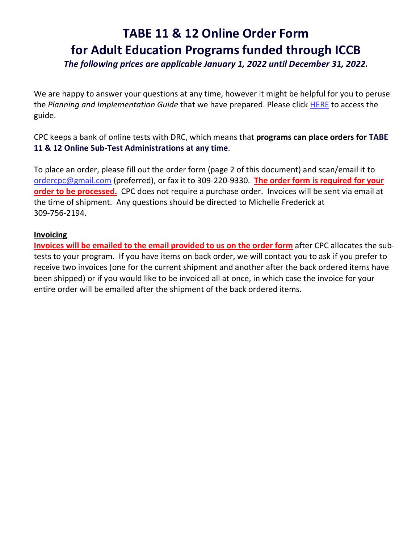# **TABE 11 & 12 Online Order Form for Adult Education Programs funded through ICCB**

*The following prices are applicable January 1, 2022 until December 31, 2022.* 

We are happy to answer your questions at any time, however it might be helpful for you to peruse the *Planning and Implementation Guide* that we have prepared. Please click [HERE](https://www.iccb.org/iccb/wp-content/pdfs/adulted/professionaldevelopment/tabe_11-12/Planning_and_Implementation_TABE_11-12-revised-072418.pdf) to access the guide.

CPC keeps a bank of online tests with DRC, which means that **programs can place orders for TABE 11 & 12 Online Sub-Test Administrations at any time**.

To place an order, please fill out the order form (page 2 of this document) and scan/email it to [ordercpc@gmail.com](mailto:ordercpc@gmail.com) (preferred), or fax it to 309-220-9330. **The order form is required for your order to be processed.** CPC does not require a purchase order. Invoices will be sent via email at the time of shipment. Any questions should be directed to Michelle Frederick at 309-756-2194.

#### **Invoicing**

**Invoices will be emailed to the email provided to us on the order form** after CPC allocates the subtests to your program. If you have items on back order, we will contact you to ask if you prefer to receive two invoices (one for the current shipment and another after the back ordered items have been shipped) or if you would like to be invoiced all at once, in which case the invoice for your entire order will be emailed after the shipment of the back ordered items.